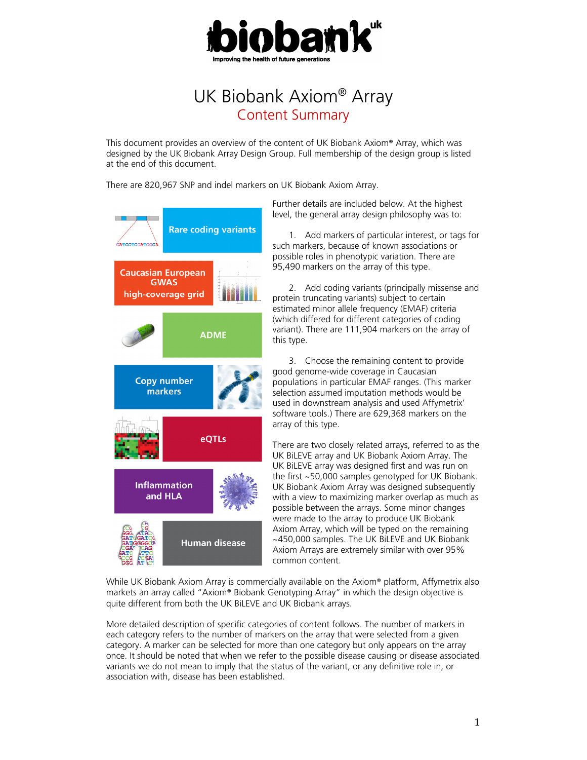

# UK Biobank Axiom® Array Content Summary

This document provides an overview of the content of UK Biobank Axiom® Array, which was designed by the UK Biobank Array Design Group. Full membership of the design group is listed at the end of this document.

There are 820,967 SNP and indel markers on UK Biobank Axiom Array.



Further details are included below. At the highest level, the general array design philosophy was to:

1. Add markers of particular interest, or tags for such markers, because of known associations or possible roles in phenotypic variation. There are 95,490 markers on the array of this type.

2. Add coding variants (principally missense and protein truncating variants) subject to certain estimated minor allele frequency (EMAF) criteria (which differed for different categories of coding variant). There are 111,904 markers on the array of this type.

3. Choose the remaining content to provide good genome-wide coverage in Caucasian populations in particular EMAF ranges. (This marker selection assumed imputation methods would be used in downstream analysis and used Affymetrix' software tools.) There are 629,368 markers on the array of this type.

There are two closely related arrays, referred to as the UK BiLEVE array and UK Biobank Axiom Array. The UK BiLEVE array was designed first and was run on the first ~50,000 samples genotyped for UK Biobank. UK Biobank Axiom Array was designed subsequently with a view to maximizing marker overlap as much as possible between the arrays. Some minor changes were made to the array to produce UK Biobank Axiom Array, which will be typed on the remaining ~450,000 samples. The UK BiLEVE and UK Biobank Axiom Arrays are extremely similar with over 95% common content.

While UK Biobank Axiom Array is commercially available on the Axiom® platform, Affymetrix also markets an array called "Axiom® Biobank Genotyping Array" in which the design objective is quite different from both the UK BiLEVE and UK Biobank arrays.

More detailed description of specific categories of content follows. The number of markers in each category refers to the number of markers on the array that were selected from a given category. A marker can be selected for more than one category but only appears on the array once. It should be noted that when we refer to the possible disease causing or disease associated variants we do not mean to imply that the status of the variant, or any definitive role in, or association with, disease has been established.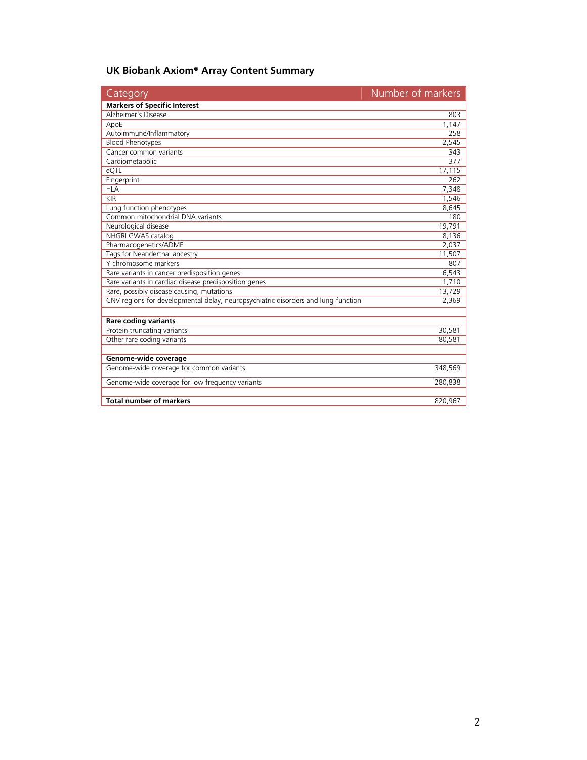# **UK Biobank Axiom® Array Content Summary**

| Category                                                                          | Number of markers |
|-----------------------------------------------------------------------------------|-------------------|
| <b>Markers of Specific Interest</b>                                               |                   |
| <b>Alzheimer's Disease</b>                                                        | 803               |
| ApoE                                                                              | 1,147             |
| Autoimmune/Inflammatory                                                           | 258               |
| <b>Blood Phenotypes</b>                                                           | 2,545             |
| Cancer common variants                                                            | 343               |
| Cardiometabolic                                                                   | 377               |
| eQTL                                                                              | 17,115            |
| Fingerprint                                                                       | 262               |
| <b>HLA</b>                                                                        | 7,348             |
| <b>KIR</b>                                                                        | 1,546             |
| Lung function phenotypes                                                          | 8,645             |
| Common mitochondrial DNA variants                                                 | 180               |
| Neurological disease                                                              | 19,791            |
| NHGRI GWAS catalog                                                                | 8,136             |
| Pharmacogenetics/ADME                                                             | 2,037             |
| Tags for Neanderthal ancestry                                                     | 11,507            |
| Y chromosome markers                                                              | 807               |
| Rare variants in cancer predisposition genes                                      | 6,543             |
| Rare variants in cardiac disease predisposition genes                             | 1,710             |
| Rare, possibly disease causing, mutations                                         | 13,729            |
| CNV regions for developmental delay, neuropsychiatric disorders and lung function | 2,369             |
| Rare coding variants                                                              |                   |
| Protein truncating variants                                                       | 30,581            |
| Other rare coding variants                                                        | 80,581            |
|                                                                                   |                   |
| Genome-wide coverage                                                              |                   |
| Genome-wide coverage for common variants                                          | 348,569           |
| Genome-wide coverage for low frequency variants                                   | 280,838           |
| <b>Total number of markers</b>                                                    | 820,967           |
|                                                                                   |                   |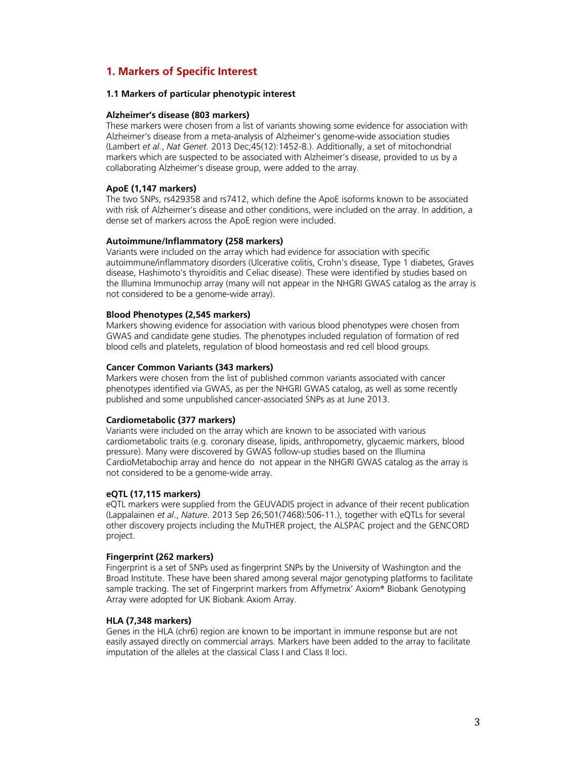# **1. Markers of Specific Interest**

# **1.1 Markers of particular phenotypic interest**

#### **Alzheimer's disease (803 markers)**

These markers were chosen from a list of variants showing some evidence for association with Alzheimer's disease from a meta-analysis of Alzheimer's genome-wide association studies (Lambert *et al.*, *Nat Genet.* 2013 Dec;45(12):1452-8.). Additionally, a set of mitochondrial markers which are suspected to be associated with Alzheimer's disease, provided to us by a collaborating Alzheimer's disease group, were added to the array.

#### **ApoE (1,147 markers)**

The two SNPs, rs429358 and rs7412, which define the ApoE isoforms known to be associated with risk of Alzheimer's disease and other conditions, were included on the array. In addition, a dense set of markers across the ApoE region were included.

#### **Autoimmune/Inflammatory (258 markers)**

Variants were included on the array which had evidence for association with specific autoimmune/inflammatory disorders (Ulcerative colitis, Crohn's disease, Type 1 diabetes, Graves disease, Hashimoto's thyroiditis and Celiac disease). These were identified by studies based on the Illumina Immunochip array (many will not appear in the NHGRI GWAS catalog as the array is not considered to be a genome-wide array).

#### **Blood Phenotypes (2,545 markers)**

Markers showing evidence for association with various blood phenotypes were chosen from GWAS and candidate gene studies. The phenotypes included regulation of formation of red blood cells and platelets, regulation of blood homeostasis and red cell blood groups.

#### **Cancer Common Variants (343 markers)**

Markers were chosen from the list of published common variants associated with cancer phenotypes identified via GWAS, as per the NHGRI GWAS catalog, as well as some recently published and some unpublished cancer-associated SNPs as at June 2013.

#### **Cardiometabolic (377 markers)**

Variants were included on the array which are known to be associated with various cardiometabolic traits (e.g. coronary disease, lipids, anthropometry, glycaemic markers, blood pressure). Many were discovered by GWAS follow-up studies based on the Illumina CardioMetabochip array and hence do not appear in the NHGRI GWAS catalog as the array is not considered to be a genome-wide array.

#### **eQTL (17,115 markers)**

eQTL markers were supplied from the GEUVADIS project in advance of their recent publication (Lappalainen *et al*., *Nature*. 2013 Sep 26;501(7468):506-11.), together with eQTLs for several other discovery projects including the MuTHER project, the ALSPAC project and the GENCORD project.

#### **Fingerprint (262 markers)**

Fingerprint is a set of SNPs used as fingerprint SNPs by the University of Washington and the Broad Institute. These have been shared among several major genotyping platforms to facilitate sample tracking. The set of Fingerprint markers from Affymetrix' Axiom® Biobank Genotyping Array were adopted for UK Biobank Axiom Array.

#### **HLA (7,348 markers)**

Genes in the HLA (chr6) region are known to be important in immune response but are not easily assayed directly on commercial arrays. Markers have been added to the array to facilitate imputation of the alleles at the classical Class I and Class II loci.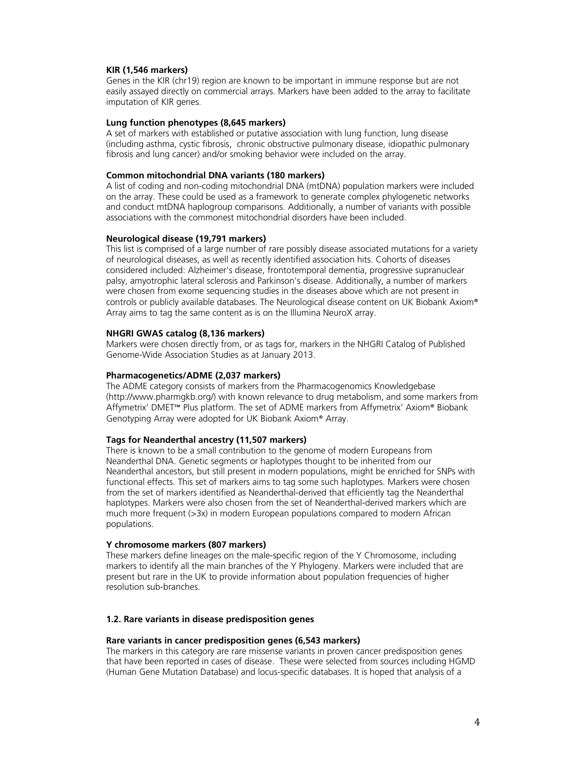#### **KIR (1,546 markers)**

Genes in the KIR (chr19) region are known to be important in immune response but are not easily assayed directly on commercial arrays. Markers have been added to the array to facilitate imputation of KIR genes.

## **Lung function phenotypes (8,645 markers)**

A set of markers with established or putative association with lung function, lung disease (including asthma, cystic fibrosis, chronic obstructive pulmonary disease, idiopathic pulmonary fibrosis and lung cancer) and/or smoking behavior were included on the array.

# **Common mitochondrial DNA variants (180 markers)**

A list of coding and non-coding mitochondrial DNA (mtDNA) population markers were included on the array. These could be used as a framework to generate complex phylogenetic networks and conduct mtDNA haplogroup comparisons. Additionally, a number of variants with possible associations with the commonest mitochondrial disorders have been included.

# **Neurological disease (19,791 markers)**

This list is comprised of a large number of rare possibly disease associated mutations for a variety of neurological diseases, as well as recently identified association hits. Cohorts of diseases considered included: Alzheimer's disease, frontotemporal dementia, progressive supranuclear palsy, amyotrophic lateral sclerosis and Parkinson's disease. Additionally, a number of markers were chosen from exome sequencing studies in the diseases above which are not present in controls or publicly available databases. The Neurological disease content on UK Biobank Axiom® Array aims to tag the same content as is on the Illumina NeuroX array.

#### **NHGRI GWAS catalog (8,136 markers)**

Markers were chosen directly from, or as tags for, markers in the NHGRI Catalog of Published Genome-Wide Association Studies as at January 2013.

### **Pharmacogenetics/ADME (2,037 markers)**

The ADME category consists of markers from the Pharmacogenomics Knowledgebase (http://www.pharmgkb.org/) with known relevance to drug metabolism, and some markers from Affymetrix' DMET™ Plus platform. The set of ADME markers from Affymetrix' Axiom® Biobank Genotyping Array were adopted for UK Biobank Axiom® Array.

# **Tags for Neanderthal ancestry (11,507 markers)**

There is known to be a small contribution to the genome of modern Europeans from Neanderthal DNA. Genetic segments or haplotypes thought to be inherited from our Neanderthal ancestors, but still present in modern populations, might be enriched for SNPs with functional effects. This set of markers aims to tag some such haplotypes. Markers were chosen from the set of markers identified as Neanderthal-derived that efficiently tag the Neanderthal haplotypes. Markers were also chosen from the set of Neanderthal-derived markers which are much more frequent (>3x) in modern European populations compared to modern African populations.

## **Y chromosome markers (807 markers)**

These markers define lineages on the male-specific region of the Y Chromosome, including markers to identify all the main branches of the Y Phylogeny. Markers were included that are present but rare in the UK to provide information about population frequencies of higher resolution sub-branches.

#### **1.2. Rare variants in disease predisposition genes**

#### **Rare variants in cancer predisposition genes (6,543 markers)**

The markers in this category are rare missense variants in proven cancer predisposition genes that have been reported in cases of disease. These were selected from sources including HGMD (Human Gene Mutation Database) and locus-specific databases. It is hoped that analysis of a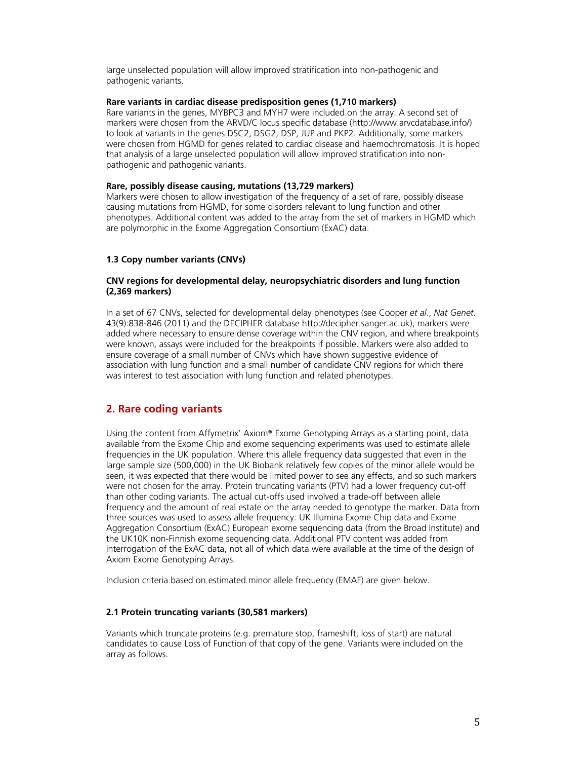large unselected population will allow improved stratification into non-pathogenic and pathogenic variants.

# **Rare variants in cardiac disease predisposition genes (1,710 markers)**

Rare variants in the genes, MYBPC3 and MYH7 were included on the array. A second set of markers were chosen from the ARVD/C locus specific database (http://www.arvcdatabase.info/) to look at variants in the genes DSC2, DSG2, DSP, JUP and PKP2. Additionally, some markers were chosen from HGMD for genes related to cardiac disease and haemochromatosis. It is hoped that analysis of a large unselected population will allow improved stratification into nonpathogenic and pathogenic variants.

#### **Rare, possibly disease causing, mutations (13,729 markers)**

Markers were chosen to allow investigation of the frequency of a set of rare, possibly disease causing mutations from HGMD, for some disorders relevant to lung function and other phenotypes. Additional content was added to the array from the set of markers in HGMD which are polymorphic in the Exome Aggregation Consortium (ExAC) data.

# **1.3 Copy number variants (CNVs)**

## **CNV regions for developmental delay, neuropsychiatric disorders and lung function (2,369 markers)**

In a set of 67 CNVs, selected for developmental delay phenotypes (see Cooper *et al*., *Nat Genet.* 43(9):838-846 (2011) and the DECIPHER database http://decipher.sanger.ac.uk), markers were added where necessary to ensure dense coverage within the CNV region, and where breakpoints were known, assays were included for the breakpoints if possible. Markers were also added to ensure coverage of a small number of CNVs which have shown suggestive evidence of association with lung function and a small number of candidate CNV regions for which there was interest to test association with lung function and related phenotypes.

# **2. Rare coding variants**

Using the content from Affymetrix' Axiom® Exome Genotyping Arrays as a starting point, data available from the Exome Chip and exome sequencing experiments was used to estimate allele frequencies in the UK population. Where this allele frequency data suggested that even in the large sample size (500,000) in the UK Biobank relatively few copies of the minor allele would be seen, it was expected that there would be limited power to see any effects, and so such markers were not chosen for the array. Protein truncating variants (PTV) had a lower frequency cut-off than other coding variants. The actual cut-offs used involved a trade-off between allele frequency and the amount of real estate on the array needed to genotype the marker. Data from three sources was used to assess allele frequency: UK Illumina Exome Chip data and Exome Aggregation Consortium (ExAC) European exome sequencing data (from the Broad Institute) and the UK10K non-Finnish exome sequencing data. Additional PTV content was added from interrogation of the ExAC data, not all of which data were available at the time of the design of Axiom Exome Genotyping Arrays.

Inclusion criteria based on estimated minor allele frequency (EMAF) are given below.

# **2.1 Protein truncating variants (30,581 markers)**

Variants which truncate proteins (e.g. premature stop, frameshift, loss of start) are natural candidates to cause Loss of Function of that copy of the gene. Variants were included on the array as follows.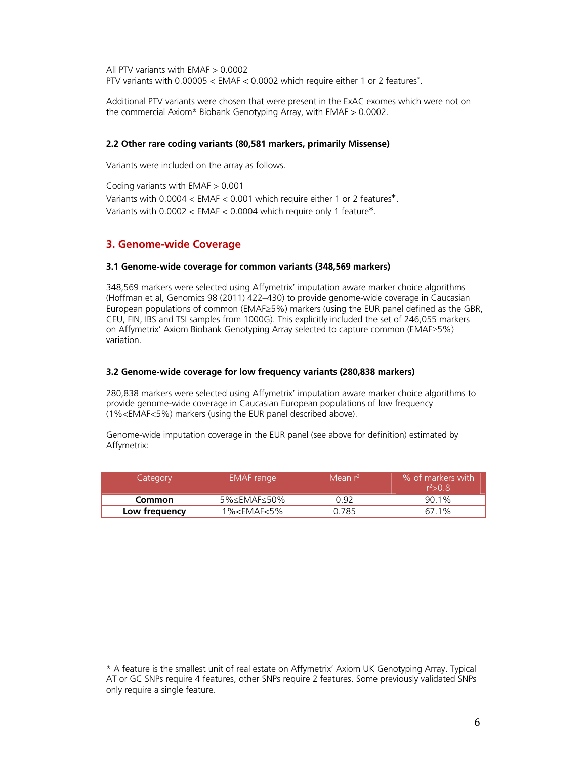All PTV variants with EMAF > 0.0002 PTV variants with 0.00005 < EMAF < 0.0002 which require either 1 or 2 features\* .

Additional PTV variants were chosen that were present in the ExAC exomes which were not on the commercial Axiom® Biobank Genotyping Array, with EMAF > 0.0002.

# **2.2 Other rare coding variants (80,581 markers, primarily Missense)**

Variants were included on the array as follows.

Coding variants with EMAF > 0.001 Variants with 0.0004 < EMAF < 0.001 which require either 1 or 2 features\*. Variants with 0.0002 < EMAF < 0.0004 which require only 1 feature\*.

# **3. Genome-wide Coverage**

 

#### **3.1 Genome-wide coverage for common variants (348,569 markers)**

348,569 markers were selected using Affymetrix' imputation aware marker choice algorithms (Hoffman et al, Genomics 98 (2011) 422–430) to provide genome-wide coverage in Caucasian European populations of common (EMAF≥5%) markers (using the EUR panel defined as the GBR, CEU, FIN, IBS and TSI samples from 1000G). This explicitly included the set of 246,055 markers on Affymetrix' Axiom Biobank Genotyping Array selected to capture common (EMAF≥5%) variation.

#### **3.2 Genome-wide coverage for low frequency variants (280,838 markers)**

280,838 markers were selected using Affymetrix' imputation aware marker choice algorithms to provide genome-wide coverage in Caucasian European populations of low frequency (1%<EMAF<5%) markers (using the EUR panel described above).

Genome-wide imputation coverage in the EUR panel (see above for definition) estimated by Affymetrix:

| Category      | EMAF range                | Mean $r^2$ | % of markers with<br>$r^2 > 0.8$ |
|---------------|---------------------------|------------|----------------------------------|
| Common        | $5\% \leq EMAF \leq 50\%$ | ገ ዓ2       | 90.1%                            |
| Low frequency | $1\% < EMAF < 5\%$        | 0.785      | 67.1%                            |

<sup>\*</sup> A feature is the smallest unit of real estate on Affymetrix' Axiom UK Genotyping Array. Typical AT or GC SNPs require 4 features, other SNPs require 2 features. Some previously validated SNPs only require a single feature.